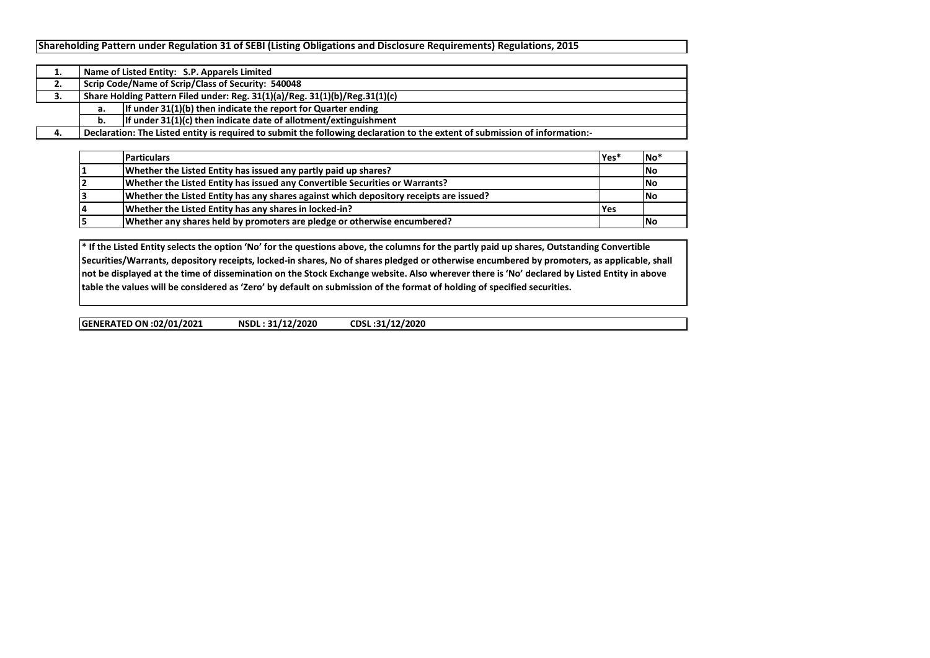|    |                                                                             | Name of Listed Entity: S.P. Apparels Limited                                                                                |  |  |  |  |  |  |  |  |  |
|----|-----------------------------------------------------------------------------|-----------------------------------------------------------------------------------------------------------------------------|--|--|--|--|--|--|--|--|--|
| ۷. |                                                                             | Scrip Code/Name of Scrip/Class of Security: 540048                                                                          |  |  |  |  |  |  |  |  |  |
| J. | Share Holding Pattern Filed under: Reg. 31(1)(a)/Reg. 31(1)(b)/Reg.31(1)(c) |                                                                                                                             |  |  |  |  |  |  |  |  |  |
|    | а.                                                                          | If under $31(1)(b)$ then indicate the report for Quarter ending                                                             |  |  |  |  |  |  |  |  |  |
|    | b.                                                                          | If under $31(1)(c)$ then indicate date of allotment/extinguishment                                                          |  |  |  |  |  |  |  |  |  |
|    |                                                                             | Declaration: The Listed entity is required to submit the following declaration to the extent of submission of information:- |  |  |  |  |  |  |  |  |  |

| <b>Particulars</b>                                                                     | lYes* | <b>INo</b> |
|----------------------------------------------------------------------------------------|-------|------------|
| Whether the Listed Entity has issued any partly paid up shares?                        |       | No         |
| Whether the Listed Entity has issued any Convertible Securities or Warrants?           |       | <b>INo</b> |
| Whether the Listed Entity has any shares against which depository receipts are issued? |       | <b>INo</b> |
| Whether the Listed Entity has any shares in locked-in?                                 | l Yes |            |
| Whether any shares held by promoters are pledge or otherwise encumbered?               |       | <b>INo</b> |

**\* If the Listed Entity selects the option 'No' for the questions above, the columns for the partly paid up shares, Outstanding Convertible Securities/Warrants, depository receipts, locked-in shares, No of shares pledged or otherwise encumbered by promoters, as applicable, shall not be displayed at the time of dissemination on the Stock Exchange website. Also wherever there is 'No' declared by Listed Entity in above table the values will be considered as 'Zero' by default on submission of the format of holding of specified securities.**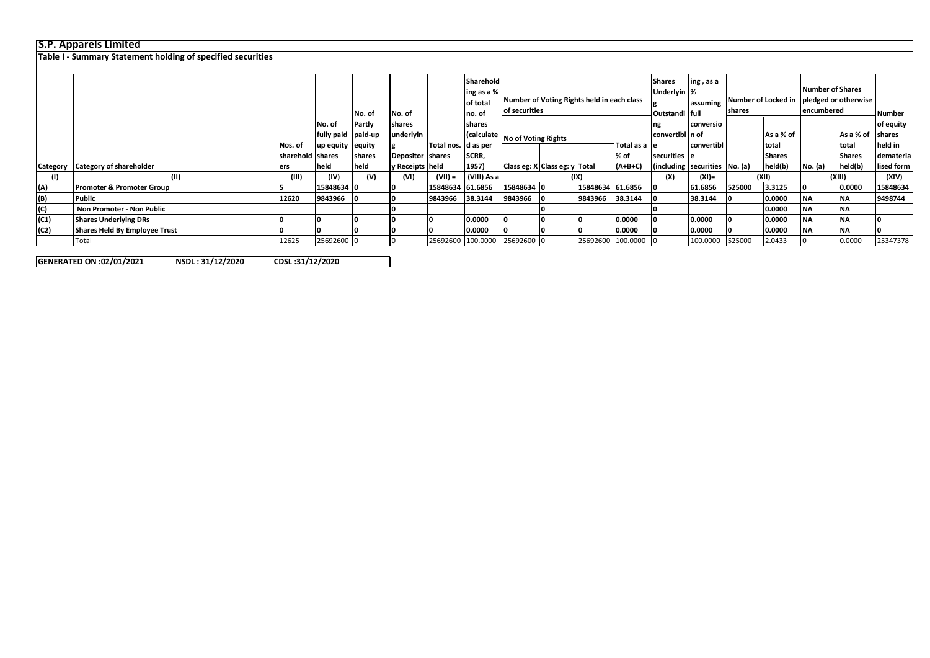## **S.P. Apparels Limited**

**Table I - Summary Statement holding of specified securities**

|                |                                      |                    |                    |        |                  |                       | Sharehold   |                                            |      |                   |                | <b>Shares</b><br>ing, as a    |                               |        |                         |         |               |               |
|----------------|--------------------------------------|--------------------|--------------------|--------|------------------|-----------------------|-------------|--------------------------------------------|------|-------------------|----------------|-------------------------------|-------------------------------|--------|-------------------------|---------|---------------|---------------|
|                |                                      |                    |                    |        |                  |                       | ing as a %  |                                            |      |                   | Underlyin %    |                               |                               |        | <b>Number of Shares</b> |         |               |               |
|                |                                      |                    |                    |        |                  |                       | of total    | Number of Voting Rights held in each class |      |                   |                |                               | lassuming Number of Locked in |        | pledged or otherwise    |         |               |               |
|                |                                      |                    |                    | No. of | No. of           |                       | Ino. of     | of securities                              |      |                   | Outstandi full |                               | <b>shares</b>                 |        | encumbered              |         | Number        |               |
|                |                                      |                    | No. of             | Partly | shares           |                       | shares      |                                            |      |                   |                | ng                            | conversio                     |        |                         |         |               | of equity     |
|                |                                      |                    | fully paid paid-up |        | underlyin        |                       |             | (calculate   No of Voting Rights           |      |                   |                | convertibl n of               |                               |        | As a % of               |         | As a % of     | <b>shares</b> |
|                |                                      | Nos. of            | up equity equity   |        |                  | Total nos.   d as per |             |                                            |      |                   | Total as a le  |                               | convertibl                    |        | total                   |         | Itotal        | held in       |
|                |                                      | Isharehold Ishares |                    | shares | Depositor shares |                       | SCRR,       |                                            |      |                   | % of           | securities e                  |                               |        | <b>Shares</b>           |         | <b>Shares</b> | demateria     |
| Category       | <b>Category of shareholder</b>       | lers               | held               | held   | y Receipts held  |                       | 1957)       | Class eg: X Class eg: y Total              |      |                   | $(A+B+C)$      | (including securities No. (a) |                               |        | held(b)                 | No. (a) | held(b)       | lised form    |
| (1)            | (II)                                 | (III)              | (IV)               | (V)    | (VI)             | (VII) =               | (VIII) As a |                                            | (IX) |                   |                |                               | $(XI) =$                      | (XII)  |                         | (XIII)  |               | (XIV)         |
| (A)            | <b>Promoter &amp; Promoter Group</b> |                    | 15848634 0         |        |                  | 15848634 61.6856      |             | 15848634 0                                 |      | 15848634 61.6856  |                |                               | 61.6856                       | 525000 | 3.3125                  |         | 0.0000        | 15848634      |
| (B)            | Public                               | 12620              | 9843966            |        | 10               | 9843966               | 38.3144     | 9843966                                    |      | 9843966           | 38.3144        |                               | 38.3144                       |        | 0.0000                  | ΝA      | <b>INA</b>    | 9498744       |
| $\overline{c}$ | Non Promoter - Non Public            |                    |                    |        |                  |                       |             |                                            |      |                   |                |                               |                               |        | 0.0000                  | ΝA      | <b>INA</b>    |               |
| (C1)           | <b>Shares Underlying DRs</b>         |                    |                    |        |                  |                       | 0.0000      |                                            |      |                   | 0.0000         |                               | 0.0000                        |        | 0.0000                  | ΝA      | <b>INA</b>    |               |
| (C2)           | <b>Shares Held By Employee Trust</b> |                    |                    |        | 10               |                       | 0.0000      |                                            |      |                   | 0.0000         |                               | 0.0000                        |        | 0.0000                  | ΝA      | <b>INA</b>    |               |
|                | Total                                | 12625              | 25692600 0         |        | 10.              |                       |             | 25692600 100.0000 25692600 0               |      | 25692600 100.0000 |                |                               | 100.0000                      | 525000 | 2.0433                  |         | 0.0000        | 25347378      |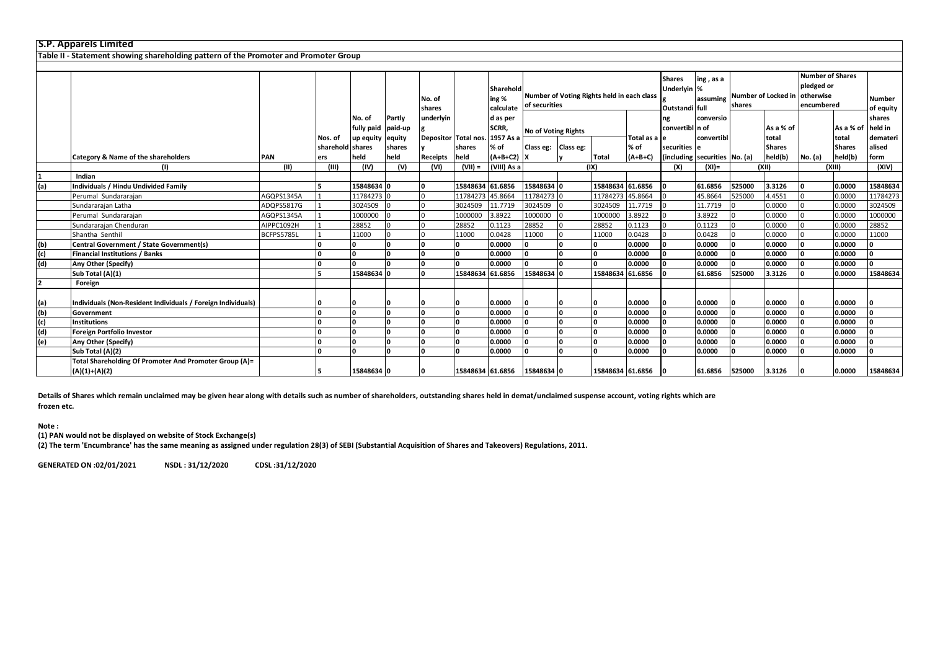|     | <b>S.P. Apparels Limited</b>                                                         |            |                         |                      |                   |                  |                                |                                 |                                                             |                            |                  |                   |                                               |            |        |                               |                                       |                          |                     |
|-----|--------------------------------------------------------------------------------------|------------|-------------------------|----------------------|-------------------|------------------|--------------------------------|---------------------------------|-------------------------------------------------------------|----------------------------|------------------|-------------------|-----------------------------------------------|------------|--------|-------------------------------|---------------------------------------|--------------------------|---------------------|
|     | Table II - Statement showing shareholding pattern of the Promoter and Promoter Group |            |                         |                      |                   |                  |                                |                                 |                                                             |                            |                  |                   |                                               |            |        |                               |                                       |                          |                     |
|     |                                                                                      |            |                         |                      |                   |                  |                                |                                 |                                                             |                            |                  |                   | <b>Shares</b>                                 | ing, as a  |        |                               | <b>Number of Shares</b><br>pledged or |                          |                     |
|     |                                                                                      |            |                         |                      |                   | No. of<br>shares |                                | Sharehold<br>ing %<br>calculate | Number of Voting Rights held in each class<br>of securities |                            |                  |                   | Underlyin %<br>Outstandi full                 | assuming   | shares | Number of Locked in otherwise |                                       | encumbered               | Number<br>of equity |
|     |                                                                                      |            |                         | No. of<br>fully paid | Partly<br>paid-up | underlyin        |                                | d as per<br>SCRR,               |                                                             | <b>No of Voting Rights</b> |                  |                   | ng<br>convertibl n of                         | conversio  |        | As a % of                     |                                       | As a % of                | shares<br>held in   |
|     |                                                                                      |            | Nos. of                 | up equity            | equity            |                  | Depositor Total nos. 1957 As a |                                 |                                                             |                            |                  | Total as a le     |                                               | convertibl |        | total                         |                                       | total                    | demateri            |
|     | Category & Name of the shareholders                                                  | <b>PAN</b> | sharehold shares<br>ers | held                 | shares<br>held    | Receipts         | shares<br>held                 | % of<br>$(A+B+C2)$ X            | Class eg: Class eg:                                         |                            | <b>Total</b>     | % of<br>$(A+B+C)$ | securities e<br>(including securities No. (a) |            |        | <b>Shares</b><br>held(b)      | No. (a)                               | <b>Shares</b><br>held(b) | alised<br>form      |
|     | (1)                                                                                  | (11)       | (III)                   | (IV)                 | (V)               | (VI)             | $(VII) =$                      | (VIII) As a                     |                                                             |                            | (IX)             |                   | (X)                                           | $(XI) =$   |        | (X  )                         | (XIII)                                |                          | (XIV)               |
|     | Indian                                                                               |            |                         |                      |                   |                  |                                |                                 |                                                             |                            |                  |                   |                                               |            |        |                               |                                       |                          |                     |
| (a) | <b>Individuals / Hindu Undivided Family</b>                                          |            |                         | 15848634 0           |                   |                  | 15848634 61.6856               |                                 | 15848634 0                                                  |                            | 15848634 61.6856 |                   |                                               | 61.6856    | 525000 | 3.3126                        | l n                                   | 0.0000                   | 15848634            |
|     | Perumal Sundararajan                                                                 | AGQPS1345A |                         | 11784273 C           |                   |                  | 11784273 45.8664               |                                 | 11784273                                                    |                            | 11784273 45.8664 |                   |                                               | 45.8664    | 525000 | 4.4551                        |                                       | 0.0000                   | 11784273            |
|     | Sundararajan Latha                                                                   | ADQPS5817G |                         | 3024509              |                   |                  | 3024509                        | 11.7719                         | 3024509                                                     |                            | 3024509          | 11.7719           |                                               | 11.7719    |        | 0.0000                        |                                       | 0.0000                   | 3024509             |
|     | Perumal Sundararajan                                                                 | AGQPS1345A |                         | 1000000              |                   |                  | 1000000                        | 3.8922                          | 1000000                                                     |                            | 1000000          | 3.8922            |                                               | 3.8922     |        | 0.0000                        |                                       | 0.0000                   | 1000000             |
|     | Sundararajan Chenduran                                                               | AIPPC1092H |                         | 28852                |                   |                  | 28852                          | 0.1123                          | 28852                                                       |                            | 28852            | 0.1123            |                                               | 0.1123     |        | 0.0000                        |                                       | 0.0000                   | 28852               |
|     | Shantha Senthil                                                                      | BCFPS5785L |                         | 11000                |                   |                  | 11000                          | 0.0428                          | 11000                                                       |                            | 11000            | 0.0428            |                                               | 0.0428     |        | 0.0000                        |                                       | 0.0000                   | 11000               |
| (b) | <b>Central Government / State Government(s)</b>                                      |            |                         | 0                    |                   |                  |                                | 0.0000                          | l n                                                         |                            | O                | 0.0000            |                                               | 0.0000     |        | 0.0000                        |                                       | 0.0000                   | n                   |
| (c) | <b>Financial Institutions / Banks</b>                                                |            | n                       | ١o                   | ١n                |                  | I٥                             | 0.0000                          | ١n                                                          |                            | 0                | 0.0000            |                                               | 0.0000     |        | 0.0000                        |                                       | 0.0000                   | n.                  |
| (d) | Any Other (Specify)                                                                  |            |                         | ۱n.                  |                   |                  |                                | 0.0000                          | 'n                                                          |                            | n                | 0.0000            |                                               | 0.0000     |        | 0.0000                        |                                       | 0.0000                   | n.                  |
|     | Sub Total (A)(1)                                                                     |            |                         | 15848634 0           |                   |                  | 15848634 61.6856               |                                 | 15848634                                                    |                            | 15848634 61.6856 |                   |                                               | 61.6856    | 525000 | 3.3126                        |                                       | 0.0000                   | 15848634            |
| 12  | Foreign                                                                              |            |                         |                      |                   |                  |                                |                                 |                                                             |                            |                  |                   |                                               |            |        |                               |                                       |                          |                     |
| (a) | Individuals (Non-Resident Individuals / Foreign Individuals)                         |            |                         |                      |                   |                  |                                | 0.0000                          |                                                             |                            |                  | 0.0000            |                                               | 0.0000     |        | 0.0000                        |                                       | 0.0000                   |                     |
| (b) | Government                                                                           |            |                         | ۱n                   |                   |                  |                                | 0.0000                          | n                                                           |                            |                  | 0.0000            |                                               | 0.0000     |        | 0.0000                        |                                       | 0.0000                   | n                   |
| (c) | <b>Institutions</b>                                                                  |            |                         | ١n                   | <b>n</b>          |                  |                                | 0.0000                          | n                                                           |                            | n                | 0.0000            |                                               | 0.0000     |        | 0.0000                        |                                       | 0.0000                   |                     |
| (d) | <b>Foreign Portfolio Investor</b>                                                    |            |                         | ۱n                   | ١n                |                  |                                | 0.0000                          | n                                                           |                            | <sup>o</sup>     | 0.0000            |                                               | 0.0000     |        | 0.0000                        |                                       | 0.0000                   | n                   |
| (e) | Any Other (Specify)                                                                  |            | n                       | ١n                   | ١n                |                  | <b>n</b>                       | 0.0000                          |                                                             |                            | ۱n.              | 0.0000            |                                               | 0.0000     |        | 0.0000                        |                                       | 0.0000                   | n                   |
|     | Sub Total (A)(2)                                                                     |            |                         | $\Omega$             |                   |                  |                                | 0.0000                          |                                                             |                            | $\Omega$         | 0.0000            |                                               | 0.0000     |        | 0.0000                        |                                       | 0.0000                   | n                   |
|     | Total Shareholding Of Promoter And Promoter Group (A)=<br>$(A)(1)+(A)(2)$            |            |                         | 15848634 0           |                   |                  | 15848634 61.6856               |                                 | 15848634 0                                                  |                            | 15848634 61.6856 |                   |                                               | 61.6856    | 525000 | 3.3126                        |                                       | 0.0000                   | 15848634            |

**Details of Shares which remain unclaimed may be given hear along with details such as number of shareholders, outstanding shares held in demat/unclaimed suspense account, voting rights which are frozen etc.**

**Note :**

**(1) PAN would not be displayed on website of Stock Exchange(s)** 

**(2) The term 'Encumbrance' has the same meaning as assigned under regulation 28(3) of SEBI (Substantial Acquisition of Shares and Takeovers) Regulations, 2011.**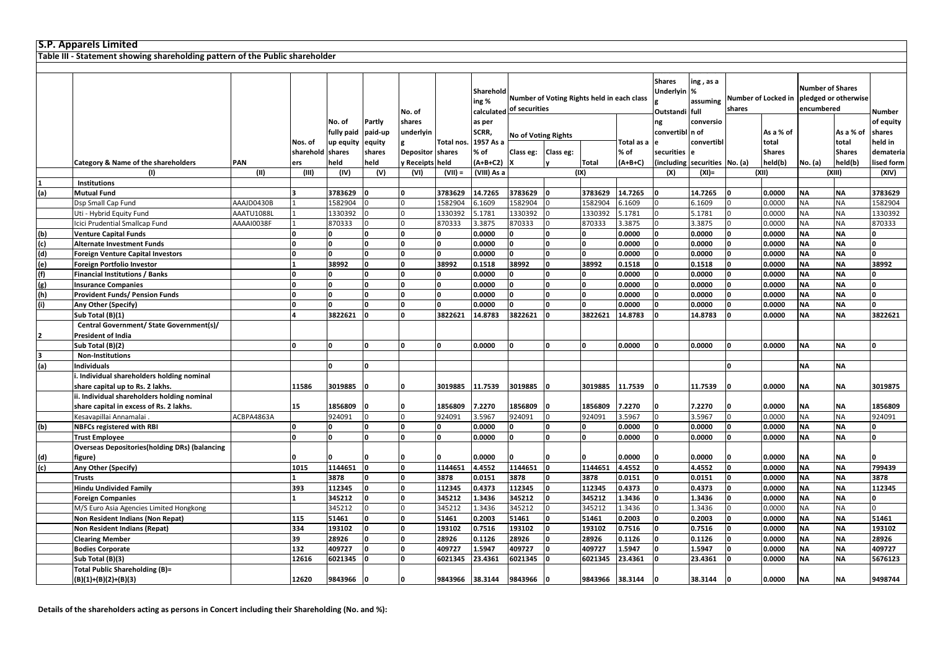|     | <b>S.P. Apparels Limited</b>                                                 |            |           |              |            |                  |                 |                    |                          |                                            |                 |            |                                                     |                               |                |                     |                                                               |               |            |
|-----|------------------------------------------------------------------------------|------------|-----------|--------------|------------|------------------|-----------------|--------------------|--------------------------|--------------------------------------------|-----------------|------------|-----------------------------------------------------|-------------------------------|----------------|---------------------|---------------------------------------------------------------|---------------|------------|
|     | Table III - Statement showing shareholding pattern of the Public shareholder |            |           |              |            |                  |                 |                    |                          |                                            |                 |            |                                                     |                               |                |                     |                                                               |               |            |
|     |                                                                              |            |           |              |            |                  |                 |                    |                          |                                            |                 |            |                                                     |                               |                |                     |                                                               |               |            |
|     |                                                                              |            |           |              |            | No. of           |                 | Sharehold<br>ing % | calculated of securities | Number of Voting Rights held in each class |                 |            | <b>Shares</b><br><b>Underlyin</b><br>Outstandi full | ing , as a<br>%<br>assuming   | shares         | Number of Locked in | <b>Number of Shares</b><br>pledged or otherwise<br>encumbered |               | Number     |
|     |                                                                              |            |           | No. of       | Partly     | shares           |                 | as per             |                          |                                            |                 |            | ng                                                  | conversio                     |                |                     |                                                               |               | of equity  |
|     |                                                                              |            |           | fully paid   | paid-up    | underlyin        |                 | SCRR,              |                          |                                            |                 |            | convertibl n of                                     |                               |                | As a % of           |                                                               | As a % of     | shares     |
|     |                                                                              |            | Nos. of   | up equity    | equity     |                  | Total nos       | 1957 As a          |                          | <b>No of Voting Rights</b>                 |                 | Total as a |                                                     | convertibl                    |                | total               |                                                               | total         | held in    |
|     |                                                                              |            | sharehold | shares       | shares     | Depositor shares |                 | % of               | Class eg:                | Class eg:                                  |                 | % of       | securities                                          |                               |                | <b>Shares</b>       |                                                               | <b>Shares</b> | demateria  |
|     | Category & Name of the shareholders                                          | PAN        | ers       | held         | held       | y Receipts held  |                 | $(A+B+C2)$         |                          |                                            | <b>Total</b>    | $(A+B+C)$  |                                                     | (including securities No. (a) |                | held(b)             | No. (a)                                                       | held(b)       | lised form |
|     | (1)                                                                          | (II)       | (III)     | (IV)         | (V)        | (VI)             | $(VII) =$       | (VIII) As a        |                          |                                            | (IX)            |            | (X)                                                 | $(XI) =$                      |                | (XII)               |                                                               | (XIII)        | (XIV)      |
|     | <b>Institutions</b>                                                          |            |           |              |            |                  |                 |                    |                          |                                            |                 |            |                                                     |                               |                |                     |                                                               |               |            |
| (a) | <b>Mutual Fund</b>                                                           |            |           | 3783629      |            |                  | 3783629         | 14.7265            | 3783629                  | ١O                                         | 3783629         | 14.7265    |                                                     | 14.7265                       | 0              | 0.0000              | <b>NA</b>                                                     | <b>NA</b>     | 3783629    |
|     | Dsp Small Cap Fund                                                           | AAAJD0430B |           | 1582904      |            |                  | 1582904         | 6.1609             | 1582904                  |                                            | 1582904         | 6.1609     |                                                     | 6.1609                        | $\Omega$       | 0.0000              | <b>NA</b>                                                     | <b>NA</b>     | 1582904    |
|     | Uti - Hybrid Equity Fund                                                     | AAATU1088L |           | 1330392      |            |                  | 1330392         | 5.1781             | 1330392                  |                                            | 1330392         | 5.1781     | $\Omega$                                            | 5.1781                        | $\overline{0}$ | 0.0000              | <b>NA</b>                                                     | <b>NA</b>     | 1330392    |
|     | Icici Prudential Smallcap Fund                                               | AAAAI0038F |           | 870333       | $\Omega$   |                  | 870333          | 3.3875             | 870333                   | $\Omega$                                   | 870333          | 3.3875     |                                                     | 3.3875                        | $\overline{0}$ | 0.0000              | NA                                                            | <b>NA</b>     | 870333     |
| (b) | <b>Venture Capital Funds</b>                                                 |            |           |              | n          |                  |                 | 0.0000             |                          | O                                          |                 | 0.0000     |                                                     | 0.0000                        | O              | 0.0000              | <b>NA</b>                                                     | <b>NA</b>     |            |
| (c) | <b>Alternate Investment Funds</b>                                            |            |           |              |            |                  |                 | 0.0000             |                          | O                                          |                 | 0.0000     |                                                     | 0.0000                        | 0              | 0.0000              | <b>NA</b>                                                     | <b>NA</b>     |            |
| (d) | <b>Foreign Venture Capital Investors</b>                                     |            | l0        | <sup>n</sup> | $\Omega$   |                  | ١o              | 0.0000             |                          | O                                          | O               | 0.0000     | ١o                                                  | 0.0000                        | O              | 0.0000              | <b>NA</b>                                                     | <b>NA</b>     |            |
| (e) | <b>Foreign Portfolio Investor</b>                                            |            |           | 38992        | $\Omega$   | O                | 38992           | 0.1518             | 38992                    | o                                          | 38992           | 0.1518     | ١o                                                  | 0.1518                        | 0              | 0.0000              | <b>NA</b>                                                     | <b>NA</b>     | 38992      |
| (f) | <b>Financial Institutions / Banks</b>                                        |            | $\Omega$  | 0            | $\Omega$   | $\Omega$         | n               | 0.0000             | 0                        | O                                          | O               | 0.0000     | $\Omega$                                            | 0.0000                        | 0              | 0.0000              | <b>NA</b>                                                     | <b>NA</b>     |            |
| (g) | <b>Insurance Companies</b>                                                   |            |           |              | $\sqrt{2}$ |                  |                 | 0.0000             |                          | n                                          | O               | 0.0000     |                                                     | 0.0000                        | n              | 0.0000              | <b>NA</b>                                                     | <b>NA</b>     |            |
| (h) | <b>Provident Funds/ Pension Funds</b>                                        |            |           |              |            |                  |                 | 0.0000             |                          | O                                          |                 | 0.0000     |                                                     | 0.0000                        |                | 0.0000              | <b>NA</b>                                                     | <b>NA</b>     |            |
| (i) | Any Other (Specify)                                                          |            | l0        | O            | n          |                  |                 | 0.0000             |                          | O                                          |                 | 0.0000     |                                                     | 0.0000                        | $\Omega$       | 0.0000              | <b>NA</b>                                                     | <b>NA</b>     |            |
|     | Sub Total (B)(1)                                                             |            |           | 3822621      |            |                  | 3822621         | 14.8783            | 3822621                  | 0                                          | 3822621         | 14.8783    |                                                     | 14.8783                       | $\Omega$       | 0.0000              | <b>NA</b>                                                     | <b>NA</b>     | 3822621    |
|     | Central Government/ State Government(s)/                                     |            |           |              |            |                  |                 |                    |                          |                                            |                 |            |                                                     |                               |                |                     |                                                               |               |            |
| 2   | President of India                                                           |            |           |              |            |                  |                 |                    |                          |                                            |                 |            |                                                     |                               |                |                     |                                                               |               |            |
|     | Sub Total (B)(2)                                                             |            | $\Omega$  |              |            |                  | n               | 0.0000             |                          | O                                          | <sup>0</sup>    | 0.0000     | ١n                                                  | 0.0000                        | 0              | 0.0000              | <b>NA</b>                                                     | <b>NA</b>     |            |
| 3   | <b>Non-Institutions</b>                                                      |            |           |              |            |                  |                 |                    |                          |                                            |                 |            |                                                     |                               |                |                     |                                                               |               |            |
| (a) | <b>Individuals</b>                                                           |            |           | $\Omega$     | $\Omega$   |                  |                 |                    |                          |                                            |                 |            |                                                     |                               | O              |                     | <b>NA</b>                                                     | <b>NA</b>     |            |
|     | . Individual shareholders holding nominal                                    |            |           |              |            |                  |                 |                    |                          |                                            |                 |            |                                                     |                               |                |                     |                                                               |               |            |
|     | share capital up to Rs. 2 lakhs.                                             |            | 11586     | 3019885      |            |                  | 3019885         | 11.7539            | 3019885                  |                                            | 3019885         | 11.7539    |                                                     | 11.7539                       |                | 0.0000              | NA                                                            | ΝA            | 3019875    |
|     | ii. Individual shareholders holding nominal                                  |            |           |              |            |                  |                 |                    |                          |                                            |                 |            |                                                     |                               |                |                     |                                                               |               |            |
|     | share capital in excess of Rs. 2 lakhs.                                      |            | 15        | 1856809      |            |                  | 1856809         | 7.2270             | 1856809                  |                                            | 1856809         | 7.2270     |                                                     | 7.2270                        |                | 0.0000              | <b>NA</b>                                                     | <b>NA</b>     | 1856809    |
|     | Kesavapillai Annamalai                                                       | ACBPA4863A |           | 924091       | $\Omega$   |                  | 924091          | 3.5967             | 924091                   | $\overline{0}$                             | 924091          | 3.5967     | l O                                                 | 3.5967                        | $\overline{0}$ | 0.0000              | <b>NA</b>                                                     | <b>NA</b>     | 924091     |
| (b) | <b>NBFCs registered with RBI</b>                                             |            | 0         | O.           | O          | 0                |                 | 0.0000             | 0                        | O                                          | 0               | 0.0000     | ١o                                                  | 0.0000                        | 0              | 0.0000              | <b>NA</b>                                                     | <b>NA</b>     | 0          |
|     | <b>Trust Employee</b>                                                        |            |           |              |            |                  |                 | 0.0000             |                          | n                                          | O               | 0.0000     |                                                     | 0.0000                        | n              | 0.0000              | <b>NA</b>                                                     | <b>NA</b>     |            |
|     | <b>Overseas Depositories (holding DRs) (balancing</b>                        |            |           |              |            |                  |                 |                    |                          |                                            |                 |            |                                                     |                               |                |                     |                                                               |               |            |
| (d) | figure)                                                                      |            |           |              |            |                  |                 | 0.0000             |                          |                                            |                 | 0.0000     |                                                     | 0.0000                        |                | 0.0000              | <b>NA</b>                                                     | <b>NA</b>     |            |
| (c) | Any Other (Specify)                                                          |            | 1015      | 1144651      | 0          | 0                | 1144651         | 4.4552             | 1144651                  | 0                                          | 1144651         | 4.4552     | 0                                                   | 4.4552                        | 0              | 0.0000              | <b>NA</b>                                                     | <b>NA</b>     | 799439     |
|     | Trusts                                                                       |            |           | 3878         | O          | 0                | 3878            | 0.0151             | 3878                     | O                                          | 3878            | 0.0151     | 0                                                   | 0.0151                        | 0              | 0.0000              | <b>NA</b>                                                     | <b>NA</b>     | 3878       |
|     | <b>Hindu Undivided Family</b>                                                |            | 393       | 112345       |            |                  | 112345          | 0.4373             | 112345                   | $\Omega$                                   | 112345          | 0.4373     |                                                     | 0.4373                        | $\Omega$       | 0.0000              | <b>NA</b>                                                     | <b>NA</b>     | 112345     |
|     | <b>Foreign Companies</b>                                                     |            |           | 345212       | $\Omega$   |                  | 345212          | 1.3436             | 345212                   | $\Omega$                                   | 345212          | 1.3436     |                                                     | 1.3436                        | O              | 0.0000              | <b>NA</b>                                                     | <b>NA</b>     |            |
|     | M/S Euro Asia Agencies Limited Hongkong                                      |            |           | 345212       |            |                  | 345212          | 1.3436             | 345212                   |                                            | 345212          | 1.3436     |                                                     | 1.3436                        | $\Omega$       | 0.0000              | <b>NA</b>                                                     | <b>NA</b>     |            |
|     | Non Resident Indians (Non Repat)                                             |            | 115       | 51461        | O          | 0                | 51461           | 0.2003             | 51461                    | O                                          | 51461           | 0.2003     | ١o                                                  | 0.2003                        | 0              | 0.0000              | <b>NA</b>                                                     | <b>NA</b>     | 51461      |
|     | Non Resident Indians (Repat)                                                 |            | 334       | 193102       | O          | 0                | 193102          | 0.7516             | 193102                   | O                                          | 193102          | 0.7516     | ١o                                                  | 0.7516                        | 0              | 0.0000              | <b>NA</b>                                                     | <b>NA</b>     | 193102     |
|     | <b>Clearing Member</b>                                                       |            | 39        | 28926        |            |                  | 28926           | 0.1126             | 28926                    | $\Omega$                                   | 28926           | 0.1126     |                                                     | 0.1126                        | $\Omega$       | 0.0000              | <b>NA</b>                                                     | <b>NA</b>     | 28926      |
|     | <b>Bodies Corporate</b>                                                      |            | 132       | 409727       |            |                  | 409727          | 1.5947             | 409727                   | $\Omega$                                   | 409727          | 1.5947     |                                                     | 1.5947                        | O              | 0.0000              | <b>NA</b>                                                     | <b>NA</b>     | 409727     |
|     | Sub Total (B)(3)                                                             |            | 12616     | 6021345      |            |                  | 6021345         | 23.4361            | 6021345                  |                                            | 6021345         | 23.4361    |                                                     | 23.4361                       |                | 0.0000              | <b>NA</b>                                                     | <b>NA</b>     | 5676123    |
|     | <b>Total Public Shareholding (B)=</b>                                        |            |           |              |            |                  |                 |                    |                          |                                            |                 |            |                                                     |                               |                |                     |                                                               |               |            |
|     | $(B)(1)+(B)(2)+(B)(3)$                                                       |            | 12620     | 9843966      |            | ١o               | 9843966 38.3144 |                    | 9843966                  |                                            | 9843966 38.3144 |            | $\Omega$                                            | 38.3144                       |                | 0.0000              | <b>NA</b>                                                     | <b>NA</b>     | 9498744    |

**Details of the shareholders acting as persons in Concert including their Shareholding (No. and %):**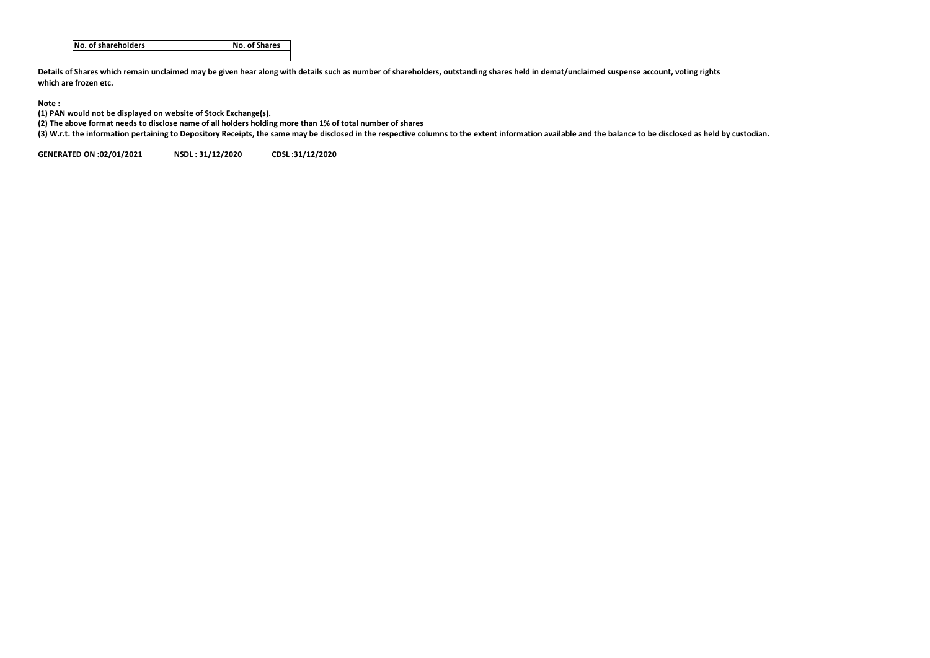| INo. of shareholders | No. of Shares |
|----------------------|---------------|
|                      |               |

**Details of Shares which remain unclaimed may be given hear along with details such as number of shareholders, outstanding shares held in demat/unclaimed suspense account, voting rights which are frozen etc.**

## **Note :**

**(1) PAN would not be displayed on website of Stock Exchange(s).** 

**(2) The above format needs to disclose name of all holders holding more than 1% of total number of shares**

**(3) W.r.t. the information pertaining to Depository Receipts, the same may be disclosed in the respective columns to the extent information available and the balance to be disclosed as held by custodian.**